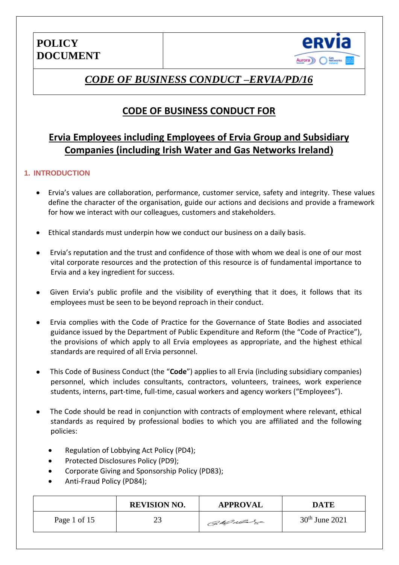

## *CODE OF BUSINESS CONDUCT –ERVIA/PD/16*

### **CODE OF BUSINESS CONDUCT FOR**

### **Ervia Employees including Employees of Ervia Group and Subsidiary Companies (including Irish Water and Gas Networks Ireland)**

#### **1. INTRODUCTION**

- Ervia's values are collaboration, performance, customer service, safety and integrity. These values define the character of the organisation, guide our actions and decisions and provide a framework for how we interact with our colleagues, customers and stakeholders.
- Ethical standards must underpin how we conduct our business on a daily basis.
- Ervia's reputation and the trust and confidence of those with whom we deal is one of our most vital corporate resources and the protection of this resource is of fundamental importance to Ervia and a key ingredient for success.
- Given Ervia's public profile and the visibility of everything that it does, it follows that its employees must be seen to be beyond reproach in their conduct.
- Ervia complies with the Code of Practice for the Governance of State Bodies and associated guidance issued by the Department of Public Expenditure and Reform (the "Code of Practice"), the provisions of which apply to all Ervia employees as appropriate, and the highest ethical standards are required of all Ervia personnel.
- This Code of Business Conduct (the "**Code**") applies to all Ervia (including subsidiary companies) personnel, which includes consultants, contractors, volunteers, trainees, work experience students, interns, part-time, full-time, casual workers and agency workers ("Employees").
- The Code should be read in conjunction with contracts of employment where relevant, ethical standards as required by professional bodies to which you are affiliated and the following policies:
	- Regulation of Lobbying Act Policy (PD4);
	- Protected Disclosures Policy (PD9);
	- Corporate Giving and Sponsorship Policy (PD83);
	- Anti-Fraud Policy (PD84);

|              | <b>REVISION NO.</b> | <b>APPROVAL</b> | <b>DATE</b>      |
|--------------|---------------------|-----------------|------------------|
| Page 1 of 15 | 23                  | Callado         | $30th$ June 2021 |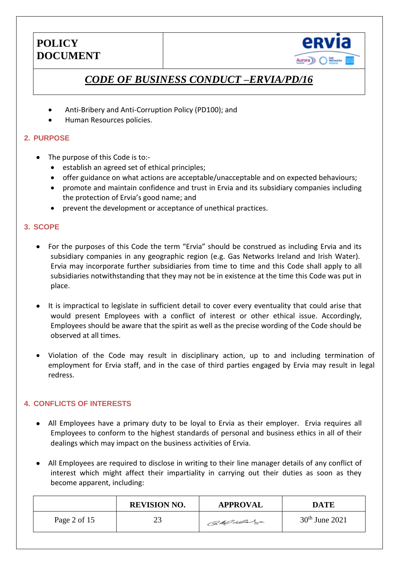

# *CODE OF BUSINESS CONDUCT –ERVIA/PD/16*

- Anti-Bribery and Anti-Corruption Policy (PD100); and
- Human Resources policies.

#### **2. PURPOSE**

- The purpose of this Code is to:
	- establish an agreed set of ethical principles;
	- offer guidance on what actions are acceptable/unacceptable and on expected behaviours;
	- promote and maintain confidence and trust in Ervia and its subsidiary companies including the protection of Ervia's good name; and
	- prevent the development or acceptance of unethical practices.

#### **3. SCOPE**

- For the purposes of this Code the term "Ervia" should be construed as including Ervia and its subsidiary companies in any geographic region (e.g. Gas Networks Ireland and Irish Water). Ervia may incorporate further subsidiaries from time to time and this Code shall apply to all subsidiaries notwithstanding that they may not be in existence at the time this Code was put in place.
- It is impractical to legislate in sufficient detail to cover every eventuality that could arise that would present Employees with a conflict of interest or other ethical issue. Accordingly, Employees should be aware that the spirit as well as the precise wording of the Code should be observed at all times.
- Violation of the Code may result in disciplinary action, up to and including termination of employment for Ervia staff, and in the case of third parties engaged by Ervia may result in legal redress.

#### **4. CONFLICTS OF INTERESTS**

- All Employees have a primary duty to be loyal to Ervia as their employer. Ervia requires all Employees to conform to the highest standards of personal and business ethics in all of their dealings which may impact on the business activities of Ervia.
- All Employees are required to disclose in writing to their line manager details of any conflict of interest which might affect their impartiality in carrying out their duties as soon as they become apparent, including:

|              | <b>REVISION NO.</b> | <b>APPROVAL</b> | <b>DATE</b>      |
|--------------|---------------------|-----------------|------------------|
| Page 2 of 15 | 23                  | Callada         | $30th$ June 2021 |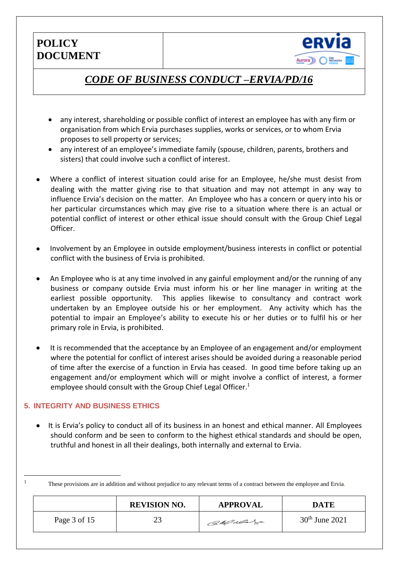

## *CODE OF BUSINESS CONDUCT –ERVIA/PD/16*

- any interest, shareholding or possible conflict of interest an employee has with any firm or organisation from which Ervia purchases supplies, works or services, or to whom Ervia proposes to sell property or services;
- any interest of an employee's immediate family (spouse, children, parents, brothers and sisters) that could involve such a conflict of interest.
- Where a conflict of interest situation could arise for an Employee, he/she must desist from dealing with the matter giving rise to that situation and may not attempt in any way to influence Ervia's decision on the matter. An Employee who has a concern or query into his or her particular circumstances which may give rise to a situation where there is an actual or potential conflict of interest or other ethical issue should consult with the Group Chief Legal Officer.
- Involvement by an Employee in outside employment/business interests in conflict or potential conflict with the business of Ervia is prohibited.
- An Employee who is at any time involved in any gainful employment and/or the running of any business or company outside Ervia must inform his or her line manager in writing at the earliest possible opportunity. This applies likewise to consultancy and contract work undertaken by an Employee outside his or her employment. Any activity which has the potential to impair an Employee's ability to execute his or her duties or to fulfil his or her primary role in Ervia, is prohibited.
- It is recommended that the acceptance by an Employee of an engagement and/or employment where the potential for conflict of interest arises should be avoided during a reasonable period of time after the exercise of a function in Ervia has ceased. In good time before taking up an engagement and/or employment which will or might involve a conflict of interest, a former employee should consult with the Group Chief Legal Officer.<sup>1</sup>

#### **5. INTEGRITY AND BUSINESS ETHICS**

<u>.</u>

 It is Ervia's policy to conduct all of its business in an honest and ethical manner. All Employees should conform and be seen to conform to the highest ethical standards and should be open, truthful and honest in all their dealings, both internally and external to Ervia.

<sup>&</sup>lt;sup>1</sup> These provisions are in addition and without prejudice to any relevant terms of a contract between the employee and Ervia.

|              | <b>REVISION NO.</b> | <b>APPROVAL</b> | <b>DATE</b>      |
|--------------|---------------------|-----------------|------------------|
| Page 3 of 15 | າາ<br>ل ک           | Callado         | $30th$ June 2021 |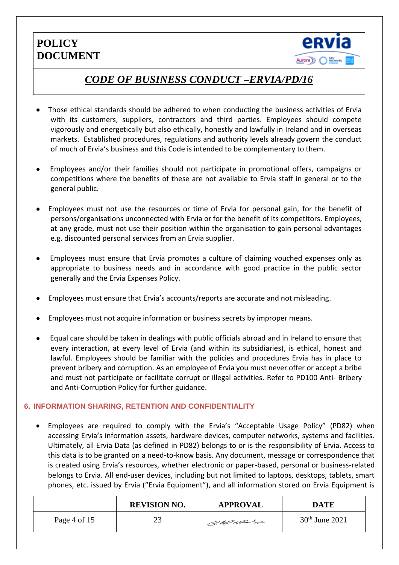

# *CODE OF BUSINESS CONDUCT –ERVIA/PD/16*

- Those ethical standards should be adhered to when conducting the business activities of Ervia with its customers, suppliers, contractors and third parties. Employees should compete vigorously and energetically but also ethically, honestly and lawfully in Ireland and in overseas markets. Established procedures, regulations and authority levels already govern the conduct of much of Ervia's business and this Code is intended to be complementary to them.
- Employees and/or their families should not participate in promotional offers, campaigns or competitions where the benefits of these are not available to Ervia staff in general or to the general public.
- Employees must not use the resources or time of Ervia for personal gain, for the benefit of persons/organisations unconnected with Ervia or for the benefit of its competitors. Employees, at any grade, must not use their position within the organisation to gain personal advantages e.g. discounted personal services from an Ervia supplier.
- Employees must ensure that Ervia promotes a culture of claiming vouched expenses only as appropriate to business needs and in accordance with good practice in the public sector generally and the Ervia Expenses Policy.
- Employees must ensure that Ervia's accounts/reports are accurate and not misleading.
- Employees must not acquire information or business secrets by improper means.
- Equal care should be taken in dealings with public officials abroad and in Ireland to ensure that every interaction, at every level of Ervia (and within its subsidiaries), is ethical, honest and lawful. Employees should be familiar with the policies and procedures Ervia has in place to prevent bribery and corruption. As an employee of Ervia you must never offer or accept a bribe and must not participate or facilitate corrupt or illegal activities. Refer to PD100 Anti- Bribery and Anti-Corruption Policy for further guidance.

#### **6. INFORMATION SHARING, RETENTION AND CONFIDENTIALITY**

 Employees are required to comply with the Ervia's "Acceptable Usage Policy" (PD82) when accessing Ervia's information assets, hardware devices, computer networks, systems and facilities. Ultimately, all Ervia Data (as defined in PD82) belongs to or is the responsibility of Ervia. Access to this data is to be granted on a need-to-know basis. Any document, message or correspondence that is created using Ervia's resources, whether electronic or paper-based, personal or business-related belongs to Ervia. All end-user devices, including but not limited to laptops, desktops, tablets, smart phones, etc. issued by Ervia ("Ervia Equipment"), and all information stored on Ervia Equipment is

|              | <b>REVISION NO.</b> | <b>APPROVAL</b> | DATE             |
|--------------|---------------------|-----------------|------------------|
| Page 4 of 15 | 23                  | CaMulas         | $30th$ June 2021 |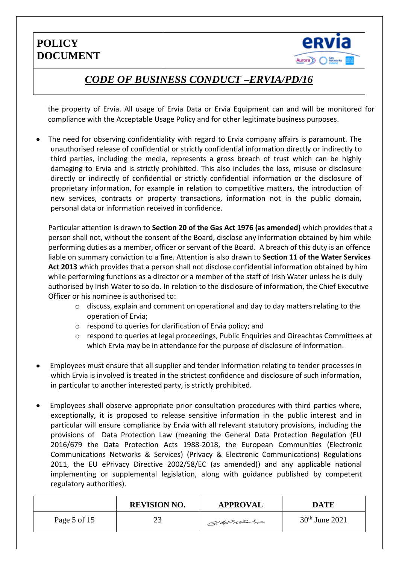

# *CODE OF BUSINESS CONDUCT –ERVIA/PD/16*

the property of Ervia. All usage of Ervia Data or Ervia Equipment can and will be monitored for compliance with the Acceptable Usage Policy and for other legitimate business purposes.

 The need for observing confidentiality with regard to Ervia company affairs is paramount. The unauthorised release of confidential or strictly confidential information directly or indirectly to third parties, including the media, represents a gross breach of trust which can be highly damaging to Ervia and is strictly prohibited. This also includes the loss, misuse or disclosure directly or indirectly of confidential or strictly confidential information or the disclosure of proprietary information, for example in relation to competitive matters, the introduction of new services, contracts or property transactions, information not in the public domain, personal data or information received in confidence.

Particular attention is drawn to **Section 20 of the Gas Act 1976 (as amended)** which provides that a person shall not, without the consent of the Board, disclose any information obtained by him while performing duties as a member, officer or servant of the Board. A breach of this duty is an offence liable on summary conviction to a fine. Attention is also drawn to **Section 11 of the Water Services Act 2013** which provides that a person shall not disclose confidential information obtained by him while performing functions as a director or a member of the staff of Irish Water unless he is duly authorised by Irish Water to so do**.** In relation to the disclosure of information, the Chief Executive Officer or his nominee is authorised to:

- o discuss, explain and comment on operational and day to day matters relating to the operation of Ervia;
- o respond to queries for clarification of Ervia policy; and
- o respond to queries at legal proceedings, Public Enquiries and Oireachtas Committees at which Ervia may be in attendance for the purpose of disclosure of information.
- Employees must ensure that all supplier and tender information relating to tender processes in which Ervia is involved is treated in the strictest confidence and disclosure of such information, in particular to another interested party, is strictly prohibited.
- Employees shall observe appropriate prior consultation procedures with third parties where, exceptionally, it is proposed to release sensitive information in the public interest and in particular will ensure compliance by Ervia with all relevant statutory provisions, including the provisions of Data Protection Law (meaning the General Data Protection Regulation (EU 2016/679 the Data Protection Acts 1988-2018, the European Communities (Electronic Communications Networks & Services) (Privacy & Electronic Communications) Regulations 2011, the EU ePrivacy Directive 2002/58/EC (as amended)) and any applicable national implementing or supplemental legislation, along with guidance published by competent regulatory authorities).

|              | <b>REVISION NO.</b> | <b>APPROVAL</b> | <b>DATE</b>      |
|--------------|---------------------|-----------------|------------------|
| Page 5 of 15 | 23                  | CaMulage        | $30th$ June 2021 |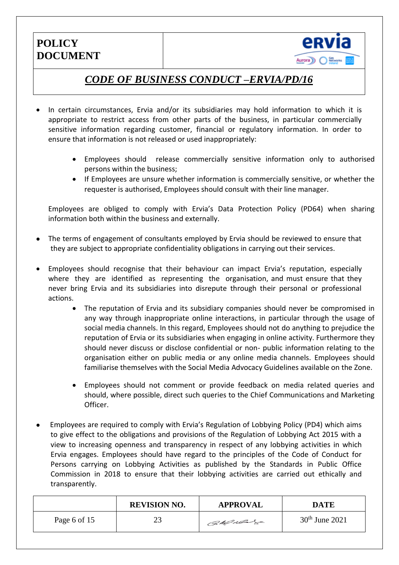

# *CODE OF BUSINESS CONDUCT –ERVIA/PD/16*

- In certain circumstances, Ervia and/or its subsidiaries may hold information to which it is appropriate to restrict access from other parts of the business, in particular commercially sensitive information regarding customer, financial or regulatory information. In order to ensure that information is not released or used inappropriately:
	- Employees should release commercially sensitive information only to authorised persons within the business;
	- If Employees are unsure whether information is commercially sensitive, or whether the requester is authorised, Employees should consult with their line manager.

Employees are obliged to comply with Ervia's Data Protection Policy (PD64) when sharing information both within the business and externally.

- The terms of engagement of consultants employed by Ervia should be reviewed to ensure that they are subject to appropriate confidentiality obligations in carrying out their services.
- Employees should recognise that their behaviour can impact Ervia's reputation, especially where they are identified as representing the organisation, and must ensure that they never bring Ervia and its subsidiaries into disrepute through their personal or professional actions.
	- The reputation of Ervia and its subsidiary companies should never be compromised in any way through inappropriate online interactions, in particular through the usage of social media channels. In this regard, Employees should not do anything to prejudice the reputation of Ervia or its subsidiaries when engaging in online activity. Furthermore they should never discuss or disclose confidential or non- public information relating to the organisation either on public media or any online media channels. Employees should familiarise themselves with the Social Media Advocacy Guidelines available on the Zone.
	- Employees should not comment or provide feedback on media related queries and should, where possible, direct such queries to the Chief Communications and Marketing Officer.
- Employees are required to comply with Ervia's Regulation of Lobbying Policy (PD4) which aims to give effect to the obligations and provisions of the Regulation of Lobbying Act 2015 with a view to increasing openness and transparency in respect of any lobbying activities in which Ervia engages. Employees should have regard to the principles of the Code of Conduct for Persons carrying on Lobbying Activities as published by the Standards in Public Office Commission in 2018 to ensure that their lobbying activities are carried out ethically and transparently.

|              | <b>REVISION NO.</b> | <b>APPROVAL</b> | <b>DATE</b>      |
|--------------|---------------------|-----------------|------------------|
| Page 6 of 15 | 23                  | CaMulage        | $30th$ June 2021 |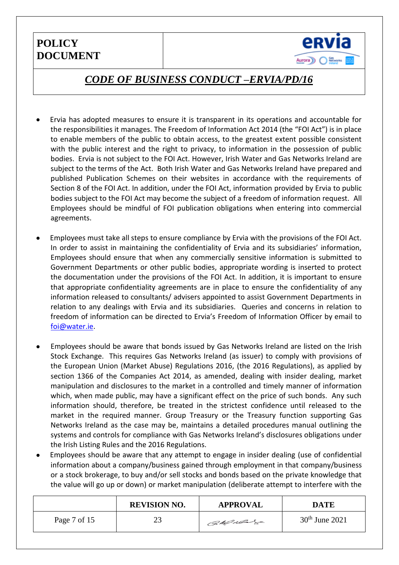

### *CODE OF BUSINESS CONDUCT –ERVIA/PD/16*

- Ervia has adopted measures to ensure it is transparent in its operations and accountable for the responsibilities it manages. The Freedom of Information Act 2014 (the "FOI Act") is in place to enable members of the public to obtain access, to the greatest extent possible consistent with the public interest and the right to privacy, to information in the possession of public bodies. Ervia is not subject to the FOI Act. However, Irish Water and Gas Networks Ireland are subject to the terms of the Act. Both Irish Water and Gas Networks Ireland have prepared and published Publication Schemes on their websites in accordance with the requirements of Section 8 of the FOI Act. In addition, under the FOI Act, information provided by Ervia to public bodies subject to the FOI Act may become the subject of a freedom of information request. All Employees should be mindful of FOI publication obligations when entering into commercial agreements.
- Employees must take all steps to ensure compliance by Ervia with the provisions of the FOI Act. In order to assist in maintaining the confidentiality of Ervia and its subsidiaries' information, Employees should ensure that when any commercially sensitive information is submitted to Government Departments or other public bodies, appropriate wording is inserted to protect the documentation under the provisions of the FOI Act. In addition, it is important to ensure that appropriate confidentiality agreements are in place to ensure the confidentiality of any information released to consultants/ advisers appointed to assist Government Departments in relation to any dealings with Ervia and its subsidiaries. Queries and concerns in relation to freedom of information can be directed to Ervia's Freedom of Information Officer by email to [foi@water.ie.](mailto:foi@water.ie)
- Employees should be aware that bonds issued by Gas Networks Ireland are listed on the Irish Stock Exchange. This requires Gas Networks Ireland (as issuer) to comply with provisions of the European Union (Market Abuse) Regulations 2016, (the 2016 Regulations), as applied by section 1366 of the Companies Act 2014, as amended, dealing with insider dealing, market manipulation and disclosures to the market in a controlled and timely manner of information which, when made public, may have a significant effect on the price of such bonds. Any such information should, therefore, be treated in the strictest confidence until released to the market in the required manner. Group Treasury or the Treasury function supporting Gas Networks Ireland as the case may be, maintains a detailed procedures manual outlining the systems and controls for compliance with Gas Networks Ireland's disclosures obligations under the Irish Listing Rules and the 2016 Regulations.
- Employees should be aware that any attempt to engage in insider dealing (use of confidential information about a company/business gained through employment in that company/business or a stock brokerage, to buy and/or sell stocks and bonds based on the private knowledge that the value will go up or down) or market manipulation (deliberate attempt to interfere with the

|              | <b>REVISION NO.</b> | <b>APPROVAL</b> | <b>DATE</b>      |
|--------------|---------------------|-----------------|------------------|
| Page 7 of 15 | 23                  | CaMular         | $30th$ June 2021 |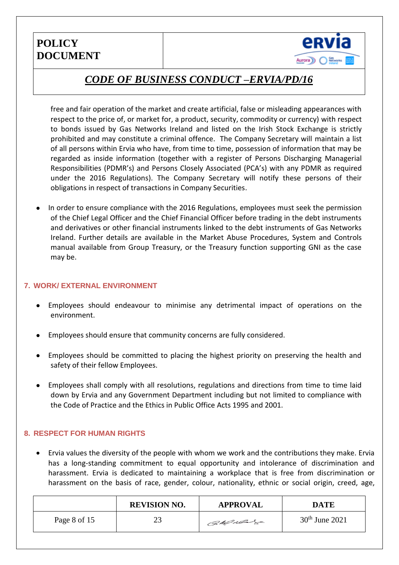

## *CODE OF BUSINESS CONDUCT –ERVIA/PD/16*

free and fair operation of the market and create artificial, false or misleading appearances with respect to the price of, or market for, a product, security, commodity or currency) with respect to bonds issued by Gas Networks Ireland and listed on the Irish Stock Exchange is strictly prohibited and may constitute a criminal offence. The Company Secretary will maintain a list of all persons within Ervia who have, from time to time, possession of information that may be regarded as inside information (together with a register of Persons Discharging Managerial Responsibilities (PDMR's) and Persons Closely Associated (PCA's) with any PDMR as required under the 2016 Regulations). The Company Secretary will notify these persons of their obligations in respect of transactions in Company Securities.

 In order to ensure compliance with the 2016 Regulations, employees must seek the permission of the Chief Legal Officer and the Chief Financial Officer before trading in the debt instruments and derivatives or other financial instruments linked to the debt instruments of Gas Networks Ireland. Further details are available in the Market Abuse Procedures, System and Controls manual available from Group Treasury, or the Treasury function supporting GNI as the case may be.

#### **7. WORK/ EXTERNAL ENVIRONMENT**

- Employees should endeavour to minimise any detrimental impact of operations on the environment.
- Employees should ensure that community concerns are fully considered.
- Employees should be committed to placing the highest priority on preserving the health and safety of their fellow Employees.
- Employees shall comply with all resolutions, regulations and directions from time to time laid down by Ervia and any Government Department including but not limited to compliance with the Code of Practice and the Ethics in Public Office Acts 1995 and 2001.

#### **8. RESPECT FOR HUMAN RIGHTS**

 Ervia values the diversity of the people with whom we work and the contributions they make. Ervia has a long-standing commitment to equal opportunity and intolerance of discrimination and harassment. Ervia is dedicated to maintaining a workplace that is free from discrimination or harassment on the basis of race, gender, colour, nationality, ethnic or social origin, creed, age,

|              | <b>REVISION NO.</b> | <b>APPROVAL</b> | <b>DATE</b>      |
|--------------|---------------------|-----------------|------------------|
| Page 8 of 15 | 23                  | CaMular         | $30th$ June 2021 |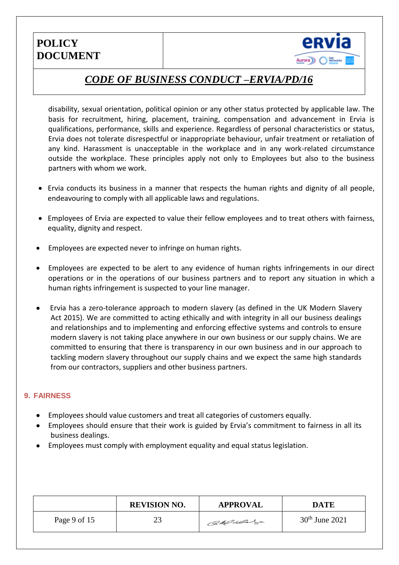

## *CODE OF BUSINESS CONDUCT –ERVIA/PD/16*

disability, sexual orientation, political opinion or any other status protected by applicable law. The basis for recruitment, hiring, placement, training, compensation and advancement in Ervia is qualifications, performance, skills and experience. Regardless of personal characteristics or status, Ervia does not tolerate disrespectful or inappropriate behaviour, unfair treatment or retaliation of any kind. Harassment is unacceptable in the workplace and in any work-related circumstance outside the workplace. These principles apply not only to Employees but also to the business partners with whom we work.

- Ervia conducts its business in a manner that respects the human rights and dignity of all people, endeavouring to comply with all applicable laws and regulations.
- Employees of Ervia are expected to value their fellow employees and to treat others with fairness, equality, dignity and respect.
- Employees are expected never to infringe on human rights.
- Employees are expected to be alert to any evidence of human rights infringements in our direct operations or in the operations of our business partners and to report any situation in which a human rights infringement is suspected to your line manager.
- Ervia has a zero-tolerance approach to modern slavery (as defined in the UK Modern Slavery Act 2015). We are committed to acting ethically and with integrity in all our business dealings and relationships and to implementing and enforcing effective systems and controls to ensure modern slavery is not taking place anywhere in our own business or our supply chains. We are committed to ensuring that there is transparency in our own business and in our approach to tackling modern slavery throughout our supply chains and we expect the same high standards from our contractors, suppliers and other business partners.

#### **9. FAIRNESS**

- Employees should value customers and treat all categories of customers equally.
- Employees should ensure that their work is guided by Ervia's commitment to fairness in all its business dealings.
- Employees must comply with employment equality and equal status legislation.

|              | <b>REVISION NO.</b> | <b>APPROVAL</b> | <b>DATE</b>      |
|--------------|---------------------|-----------------|------------------|
| Page 9 of 15 | 23                  | CaMulage        | $30th$ June 2021 |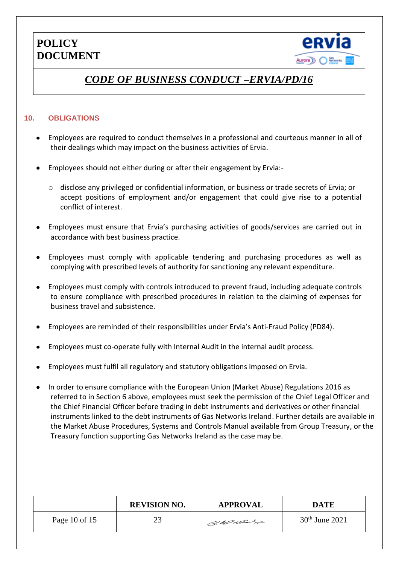

# *CODE OF BUSINESS CONDUCT –ERVIA/PD/16*

#### **10. OBLIGATIONS**

- Employees are required to conduct themselves in a professional and courteous manner in all of their dealings which may impact on the business activities of Ervia.
- Employees should not either during or after their engagement by Ervia:
	- o disclose any privileged or confidential information, or business or trade secrets of Ervia; or accept positions of employment and/or engagement that could give rise to a potential conflict of interest.
- Employees must ensure that Ervia's purchasing activities of goods/services are carried out in accordance with best business practice.
- Employees must comply with applicable tendering and purchasing procedures as well as complying with prescribed levels of authority for sanctioning any relevant expenditure.
- Employees must comply with controls introduced to prevent fraud, including adequate controls to ensure compliance with prescribed procedures in relation to the claiming of expenses for business travel and subsistence.
- Employees are reminded of their responsibilities under Ervia's Anti-Fraud Policy (PD84).
- Employees must co-operate fully with Internal Audit in the internal audit process.
- Employees must fulfil all regulatory and statutory obligations imposed on Ervia.
- In order to ensure compliance with the European Union (Market Abuse) Regulations 2016 as referred to in Section 6 above, employees must seek the permission of the Chief Legal Officer and the Chief Financial Officer before trading in debt instruments and derivatives or other financial instruments linked to the debt instruments of Gas Networks Ireland. Further details are available in the Market Abuse Procedures, Systems and Controls Manual available from Group Treasury, or the Treasury function supporting Gas Networks Ireland as the case may be.

|               | <b>REVISION NO.</b> | <b>APPROVAL</b> | <b>DATE</b>      |
|---------------|---------------------|-----------------|------------------|
| Page 10 of 15 | 23                  | Callado         | $30th$ June 2021 |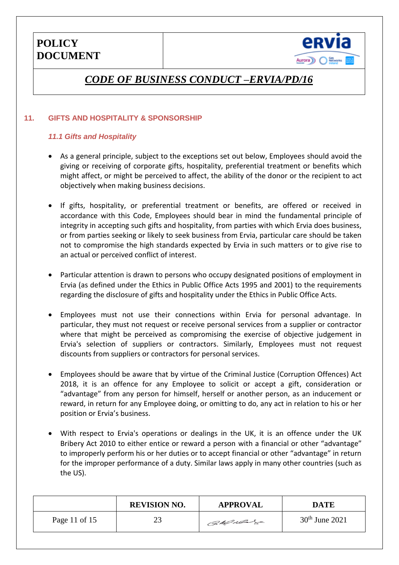

# *CODE OF BUSINESS CONDUCT –ERVIA/PD/16*

#### **11. GIFTS AND HOSPITALITY & SPONSORSHIP**

#### *11.1 Gifts and Hospitality*

- As a general principle, subject to the exceptions set out below, Employees should avoid the giving or receiving of corporate gifts, hospitality, preferential treatment or benefits which might affect, or might be perceived to affect, the ability of the donor or the recipient to act objectively when making business decisions.
- If gifts, hospitality, or preferential treatment or benefits, are offered or received in accordance with this Code, Employees should bear in mind the fundamental principle of integrity in accepting such gifts and hospitality, from parties with which Ervia does business, or from parties seeking or likely to seek business from Ervia, particular care should be taken not to compromise the high standards expected by Ervia in such matters or to give rise to an actual or perceived conflict of interest.
- Particular attention is drawn to persons who occupy designated positions of employment in Ervia (as defined under the Ethics in Public Office Acts 1995 and 2001) to the requirements regarding the disclosure of gifts and hospitality under the Ethics in Public Office Acts.
- Employees must not use their connections within Ervia for personal advantage. In particular, they must not request or receive personal services from a supplier or contractor where that might be perceived as compromising the exercise of objective judgement in Ervia's selection of suppliers or contractors. Similarly, Employees must not request discounts from suppliers or contractors for personal services.
- Employees should be aware that by virtue of the Criminal Justice (Corruption Offences) Act 2018, it is an offence for any Employee to solicit or accept a gift, consideration or "advantage" from any person for himself, herself or another person, as an inducement or reward, in return for any Employee doing, or omitting to do, any act in relation to his or her position or Ervia's business.
- With respect to Ervia's operations or dealings in the UK, it is an offence under the UK Bribery Act 2010 to either entice or reward a person with a financial or other "advantage" to improperly perform his or her duties or to accept financial or other "advantage" in return for the improper performance of a duty. Similar laws apply in many other countries (such as the US).

|               | <b>REVISION NO.</b> | <b>APPROVAL</b> | <b>DATE</b>      |
|---------------|---------------------|-----------------|------------------|
| Page 11 of 15 | 23                  | CaMulage        | $30th$ June 2021 |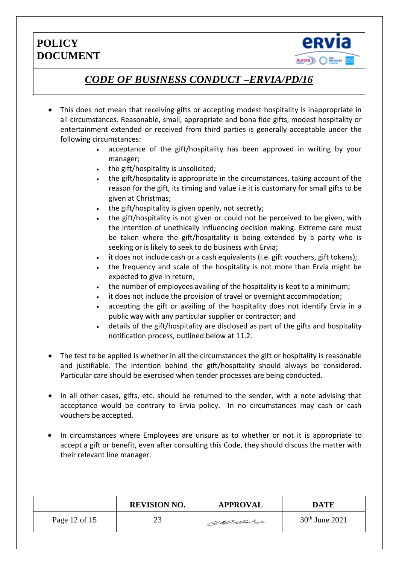

# *CODE OF BUSINESS CONDUCT –ERVIA/PD/16*

- This does not mean that receiving gifts or accepting modest hospitality is inappropriate in all circumstances. Reasonable, small, appropriate and bona fide gifts, modest hospitality or entertainment extended or received from third parties is generally acceptable under the following circumstances:
	- acceptance of the gift/hospitality has been approved in writing by your manager;
	- $\cdot$  the gift/hospitality is unsolicited;
	- the gift/hospitality is appropriate in the circumstances, taking account of the reason for the gift, its timing and value i.e it is customary for small gifts to be given at Christmas;
	- the gift/hospitality is given openly, not secretly;
	- the gift/hospitality is not given or could not be perceived to be given, with the intention of unethically influencing decision making. Extreme care must be taken where the gift/hospitality is being extended by a party who is seeking or is likely to seek to do business with Ervia;
	- it does not include cash or a cash equivalents (i.e. gift vouchers, gift tokens);
	- the frequency and scale of the hospitality is not more than Ervia might be expected to give in return;
	- the number of employees availing of the hospitality is kept to a minimum;
	- it does not include the provision of travel or overnight accommodation;
	- accepting the gift or availing of the hospitality does not identify Ervia in a public way with any particular supplier or contractor; and
	- details of the gift/hospitality are disclosed as part of the gifts and hospitality notification process, outlined below at 11.2.
- The test to be applied is whether in all the circumstances the gift or hospitality is reasonable and justifiable. The intention behind the gift/hospitality should always be considered. Particular care should be exercised when tender processes are being conducted.
- In all other cases, gifts, etc. should be returned to the sender, with a note advising that acceptance would be contrary to Ervia policy. In no circumstances may cash or cash vouchers be accepted.
- In circumstances where Employees are unsure as to whether or not it is appropriate to accept a gift or benefit, even after consulting this Code, they should discuss the matter with their relevant line manager.

|               | <b>REVISION NO.</b> | <b>APPROVAL</b> | DATE             |
|---------------|---------------------|-----------------|------------------|
| Page 12 of 15 | 23                  | CaMulage        | $30th$ June 2021 |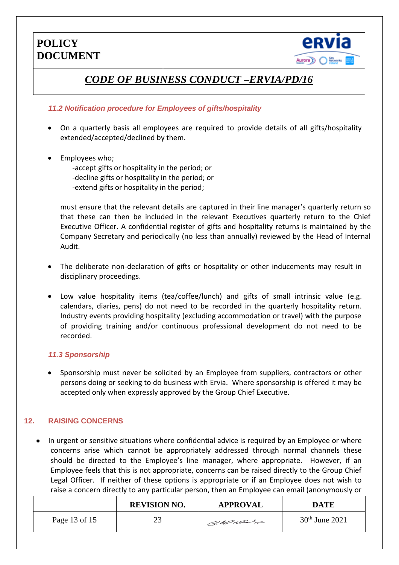

# *CODE OF BUSINESS CONDUCT –ERVIA/PD/16*

#### *11.2 Notification procedure for Employees of gifts/hospitality*

- On a quarterly basis all employees are required to provide details of all gifts/hospitality extended/accepted/declined by them.
- Employees who;

-accept gifts or hospitality in the period; or -decline gifts or hospitality in the period; or -extend gifts or hospitality in the period;

must ensure that the relevant details are captured in their line manager's quarterly return so that these can then be included in the relevant Executives quarterly return to the Chief Executive Officer. A confidential register of gifts and hospitality returns is maintained by the Company Secretary and periodically (no less than annually) reviewed by the Head of Internal Audit.

- The deliberate non-declaration of gifts or hospitality or other inducements may result in disciplinary proceedings.
- Low value hospitality items (tea/coffee/lunch) and gifts of small intrinsic value (e.g. calendars, diaries, pens) do not need to be recorded in the quarterly hospitality return. Industry events providing hospitality (excluding accommodation or travel) with the purpose of providing training and/or continuous professional development do not need to be recorded.

#### *11.3 Sponsorship*

 Sponsorship must never be solicited by an Employee from suppliers, contractors or other persons doing or seeking to do business with Ervia. Where sponsorship is offered it may be accepted only when expressly approved by the Group Chief Executive.

#### **12. RAISING CONCERNS**

 In urgent or sensitive situations where confidential advice is required by an Employee or where concerns arise which cannot be appropriately addressed through normal channels these should be directed to the Employee's line manager, where appropriate. However, if an Employee feels that this is not appropriate, concerns can be raised directly to the Group Chief Legal Officer. If neither of these options is appropriate or if an Employee does not wish to raise a concern directly to any particular person, then an Employee can email (anonymously or

|               | <b>REVISION NO.</b> | <b>APPROVAL</b> | DATE             |
|---------------|---------------------|-----------------|------------------|
| Page 13 of 15 | 23                  | Callado         | $30th$ June 2021 |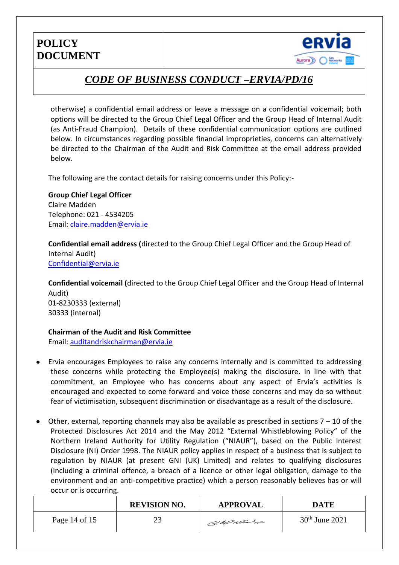

# *CODE OF BUSINESS CONDUCT –ERVIA/PD/16*

otherwise) a confidential email address or leave a message on a confidential voicemail; both options will be directed to the Group Chief Legal Officer and the Group Head of Internal Audit (as Anti-Fraud Champion). Details of these confidential communication options are outlined below. In circumstances regarding possible financial improprieties, concerns can alternatively be directed to the Chairman of the Audit and Risk Committee at the email address provided below.

The following are the contact details for raising concerns under this Policy:-

**Group Chief Legal Officer** Claire Madden Telephone: 021 - 4534205 Email: [claire.madden@ervia.ie](mailto:claire.madden@ervia.ie)

**Confidential email address (**directed to the Group Chief Legal Officer and the Group Head of Internal Audit) [Confidential@ervia.ie](mailto:Confidential@ervia.ie)

**Confidential voicemail (**directed to the Group Chief Legal Officer and the Group Head of Internal Audit) 01-8230333 (external) 30333 (internal)

#### **Chairman of the Audit and Risk Committee**

Email: [auditandriskchairman@ervia.ie](mailto:auditandriskchairman@ervia.ie)

- Ervia encourages Employees to raise any concerns internally and is committed to addressing these concerns while protecting the Employee(s) making the disclosure. In line with that commitment, an Employee who has concerns about any aspect of Ervia's activities is encouraged and expected to come forward and voice those concerns and may do so without fear of victimisation, subsequent discrimination or disadvantage as a result of the disclosure.
- Other, external, reporting channels may also be available as prescribed in sections 7 10 of the Protected Disclosures Act 2014 and the May 2012 "External Whistleblowing Policy" of the Northern Ireland Authority for Utility Regulation ("NIAUR"), based on the Public Interest Disclosure (NI) Order 1998. The NIAUR policy applies in respect of a business that is subject to regulation by NIAUR (at present GNI (UK) Limited) and relates to qualifying disclosures (including a criminal offence, a breach of a licence or other legal obligation, damage to the environment and an anti-competitive practice) which a person reasonably believes has or will occur or is occurring.

|               | <b>REVISION NO.</b> | <b>APPROVAL</b> | DATE             |
|---------------|---------------------|-----------------|------------------|
| Page 14 of 15 | 23                  | CaMulas         | $30th$ June 2021 |